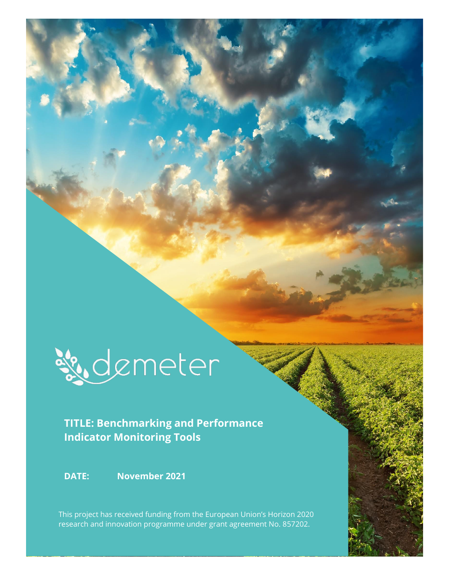

## **TITLE: Benchmarking and Performance Indicator Monitoring Tools**

**DATE: November 2021**

This project has received funding from the European Union's Horizon 2020 research and innovation programme under grant agreement No. 857202.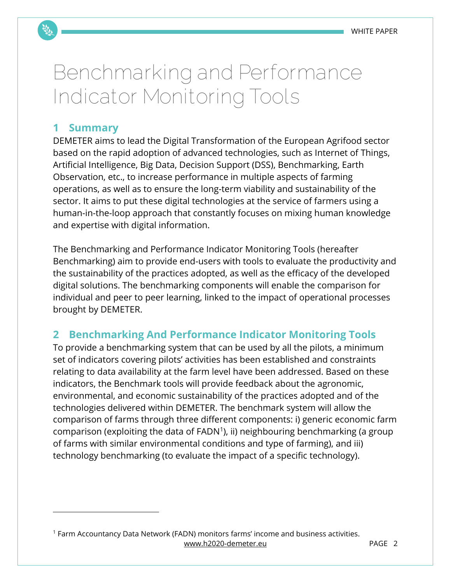# **Benchmarking and Performance Indicator Monitoring Tools**

#### **1 Summary**

DEMETER aims to lead the Digital Transformation of the European Agrifood sector based on the rapid adoption of advanced technologies, such as Internet of Things, Artificial Intelligence, Big Data, Decision Support (DSS), Benchmarking, Earth Observation, etc., to increase performance in multiple aspects of farming operations, as well as to ensure the long-term viability and sustainability of the sector. It aims to put these digital technologies at the service of farmers using a human-in-the-loop approach that constantly focuses on mixing human knowledge and expertise with digital information.

The Benchmarking and Performance Indicator Monitoring Tools (hereafter Benchmarking) aim to provide end-users with tools to evaluate the productivity and the sustainability of the practices adopted, as well as the efficacy of the developed digital solutions. The benchmarking components will enable the comparison for individual and peer to peer learning, linked to the impact of operational processes brought by DEMETER.

### **2 Benchmarking And Performance Indicator Monitoring Tools**

To provide a benchmarking system that can be used by all the pilots, a minimum set of indicators covering pilots' activities has been established and constraints relating to data availability at the farm level have been addressed. Based on these indicators, the Benchmark tools will provide feedback about the agronomic, environmental, and economic sustainability of the practices adopted and of the technologies delivered within DEMETER. The benchmark system will allow the comparison of farms through three different components: i) generic economic farm  $comparison$  (exploiting the data of  $FADN<sup>1</sup>$ ), ii) neighbouring benchmarking (a group of farms with similar environmental conditions and type of farming), and iii) technology benchmarking (to evaluate the impact of a specific technology).

[www.h2020-demeter.eu](http://www.h2020-demeter.eu/) PAGE 2 <sup>1</sup> Farm Accountancy Data Network (FADN) monitors farms' income and business activities.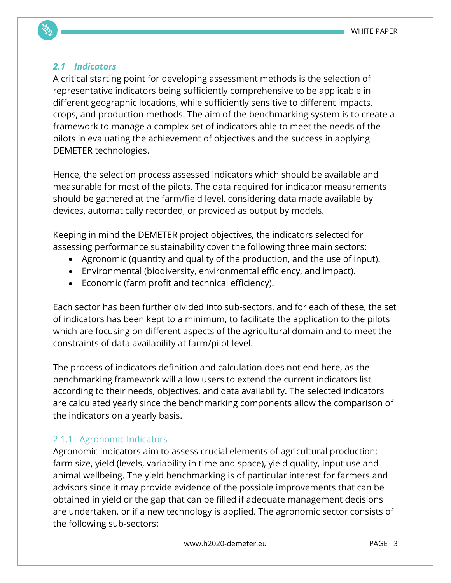#### *2.1 Indicators*

A critical starting point for developing assessment methods is the selection of representative indicators being sufficiently comprehensive to be applicable in different geographic locations, while sufficiently sensitive to different impacts, crops, and production methods. The aim of the benchmarking system is to create a framework to manage a complex set of indicators able to meet the needs of the pilots in evaluating the achievement of objectives and the success in applying DEMETER technologies.

Hence, the selection process assessed indicators which should be available and measurable for most of the pilots. The data required for indicator measurements should be gathered at the farm/field level, considering data made available by devices, automatically recorded, or provided as output by models.

Keeping in mind the DEMETER project objectives, the indicators selected for assessing performance sustainability cover the following three main sectors:

- Agronomic (quantity and quality of the production, and the use of input).
- Environmental (biodiversity, environmental efficiency, and impact).
- Economic (farm profit and technical efficiency).

Each sector has been further divided into sub-sectors, and for each of these, the set of indicators has been kept to a minimum, to facilitate the application to the pilots which are focusing on different aspects of the agricultural domain and to meet the constraints of data availability at farm/pilot level.

The process of indicators definition and calculation does not end here, as the benchmarking framework will allow users to extend the current indicators list according to their needs, objectives, and data availability. The selected indicators are calculated yearly since the benchmarking components allow the comparison of the indicators on a yearly basis.

#### 2.1.1 Agronomic Indicators

Agronomic indicators aim to assess crucial elements of agricultural production: farm size, yield (levels, variability in time and space), yield quality, input use and animal wellbeing. The yield benchmarking is of particular interest for farmers and advisors since it may provide evidence of the possible improvements that can be obtained in yield or the gap that can be filled if adequate management decisions are undertaken, or if a new technology is applied. The agronomic sector consists of the following sub-sectors: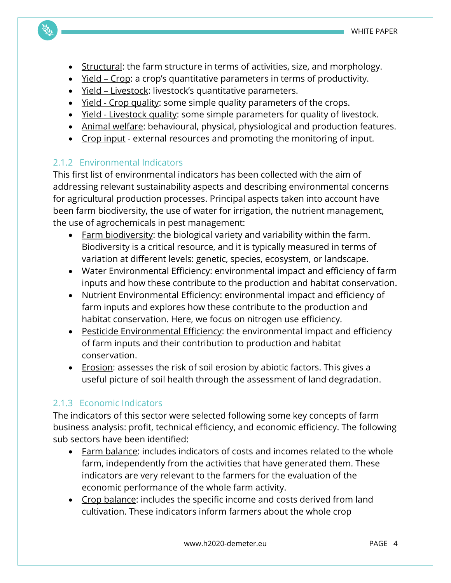- Structural: the farm structure in terms of activities, size, and morphology.
- Yield Crop: a crop's quantitative parameters in terms of productivity.
- Yield Livestock: livestock's quantitative parameters.
- Yield Crop quality: some simple quality parameters of the crops.
- Yield Livestock quality: some simple parameters for quality of livestock.
- Animal welfare: behavioural, physical, physiological and production features.
- Crop input external resources and promoting the monitoring of input.

#### 2.1.2 Environmental Indicators

This first list of environmental indicators has been collected with the aim of addressing relevant sustainability aspects and describing environmental concerns for agricultural production processes. Principal aspects taken into account have been farm biodiversity, the use of water for irrigation, the nutrient management, the use of agrochemicals in pest management:

- Farm biodiversity: the biological variety and variability within the farm. Biodiversity is a critical resource, and it is typically measured in terms of variation at different levels: genetic, species, ecosystem, or landscape.
- Water Environmental Efficiency: environmental impact and efficiency of farm inputs and how these contribute to the production and habitat conservation.
- Nutrient Environmental Efficiency: environmental impact and efficiency of farm inputs and explores how these contribute to the production and habitat conservation. Here, we focus on nitrogen use efficiency.
- Pesticide Environmental Efficiency: the environmental impact and efficiency of farm inputs and their contribution to production and habitat conservation.
- Erosion: assesses the risk of soil erosion by abiotic factors. This gives a useful picture of soil health through the assessment of land degradation.

#### 2.1.3 Economic Indicators

The indicators of this sector were selected following some key concepts of farm business analysis: profit, technical efficiency, and economic efficiency. The following sub sectors have been identified:

- Farm balance: includes indicators of costs and incomes related to the whole farm, independently from the activities that have generated them. These indicators are very relevant to the farmers for the evaluation of the economic performance of the whole farm activity.
- Crop balance: includes the specific income and costs derived from land cultivation. These indicators inform farmers about the whole crop

[www.h2020-demeter.eu](http://www.h2020-demeter.eu/) example and page 4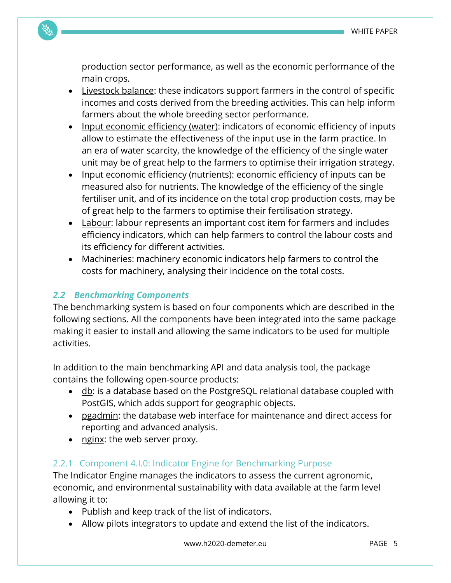production sector performance, as well as the economic performance of the main crops.

- Livestock balance: these indicators support farmers in the control of specific incomes and costs derived from the breeding activities. This can help inform farmers about the whole breeding sector performance.
- Input economic efficiency (water): indicators of economic efficiency of inputs allow to estimate the effectiveness of the input use in the farm practice. In an era of water scarcity, the knowledge of the efficiency of the single water unit may be of great help to the farmers to optimise their irrigation strategy.
- Input economic efficiency (nutrients): economic efficiency of inputs can be measured also for nutrients. The knowledge of the efficiency of the single fertiliser unit, and of its incidence on the total crop production costs, may be of great help to the farmers to optimise their fertilisation strategy.
- Labour: labour represents an important cost item for farmers and includes efficiency indicators, which can help farmers to control the labour costs and its efficiency for different activities.
- Machineries: machinery economic indicators help farmers to control the costs for machinery, analysing their incidence on the total costs.

#### *2.2 Benchmarking Components*

The benchmarking system is based on four components which are described in the following sections. All the components have been integrated into the same package making it easier to install and allowing the same indicators to be used for multiple activities.

In addition to the main benchmarking API and data analysis tool, the package contains the following open-source products:

- $\bullet$  db: is a database based on the PostgreSQL relational database coupled with PostGIS, which adds support for geographic objects.
- pgadmin: the database web interface for maintenance and direct access for reporting and advanced analysis.
- nginx: the web server proxy.

#### 2.2.1 Component 4.I.0: Indicator Engine for Benchmarking Purpose

The Indicator Engine manages the indicators to assess the current agronomic, economic, and environmental sustainability with data available at the farm level allowing it to:

- Publish and keep track of the list of indicators.
- Allow pilots integrators to update and extend the list of the indicators.

[www.h2020-demeter.eu](http://www.h2020-demeter.eu/) example and page 5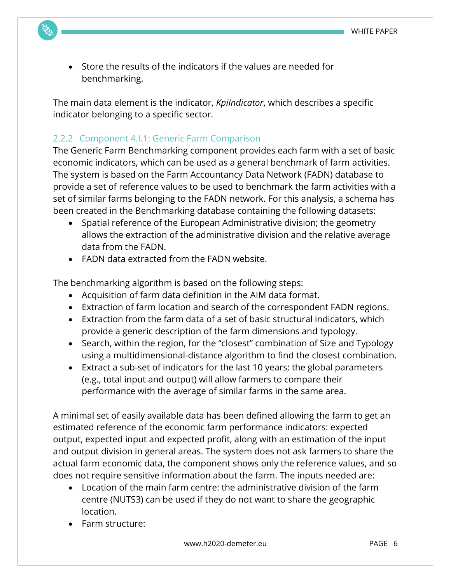• Store the results of the indicators if the values are needed for benchmarking.

The main data element is the indicator, *KpiIndicator*, which describes a specific indicator belonging to a specific sector.

#### 2.2.2 Component 4.I.1: Generic Farm Comparison

The Generic Farm Benchmarking component provides each farm with a set of basic economic indicators, which can be used as a general benchmark of farm activities. The system is based on the Farm Accountancy Data Network (FADN) database to provide a set of reference values to be used to benchmark the farm activities with a set of similar farms belonging to the FADN network. For this analysis, a schema has been created in the Benchmarking database containing the following datasets:

- Spatial reference of the European Administrative division; the geometry allows the extraction of the administrative division and the relative average data from the FADN.
- FADN data extracted from the FADN website.

The benchmarking algorithm is based on the following steps:

- Acquisition of farm data definition in the AIM data format.
- Extraction of farm location and search of the correspondent FADN regions.
- Extraction from the farm data of a set of basic structural indicators, which provide a generic description of the farm dimensions and typology.
- Search, within the region, for the "closest" combination of Size and Typology using a multidimensional-distance algorithm to find the closest combination.
- Extract a sub-set of indicators for the last 10 years; the global parameters (e.g., total input and output) will allow farmers to compare their performance with the average of similar farms in the same area.

A minimal set of easily available data has been defined allowing the farm to get an estimated reference of the economic farm performance indicators: expected output, expected input and expected profit, along with an estimation of the input and output division in general areas. The system does not ask farmers to share the actual farm economic data, the component shows only the reference values, and so does not require sensitive information about the farm. The inputs needed are:

- Location of the main farm centre: the administrative division of the farm centre (NUTS3) can be used if they do not want to share the geographic location.
- Farm structure: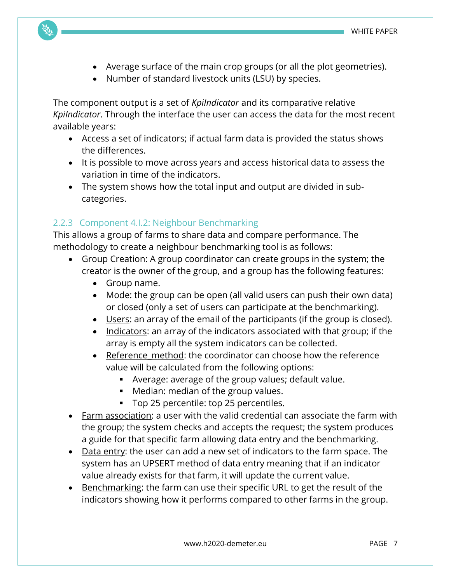- Average surface of the main crop groups (or all the plot geometries).
- Number of standard livestock units (LSU) by species.

The component output is a set of *KpiIndicator* and its comparative relative *KpiIndicator*. Through the interface the user can access the data for the most recent available years:

- Access a set of indicators; if actual farm data is provided the status shows the differences.
- It is possible to move across years and access historical data to assess the variation in time of the indicators.
- The system shows how the total input and output are divided in subcategories.

#### 2.2.3 Component 4.I.2: Neighbour Benchmarking

This allows a group of farms to share data and compare performance. The methodology to create a neighbour benchmarking tool is as follows:

- Group Creation: A group coordinator can create groups in the system; the creator is the owner of the group, and a group has the following features:
	- Group name.
	- Mode: the group can be open (all valid users can push their own data) or closed (only a set of users can participate at the benchmarking).
	- Users: an array of the email of the participants (if the group is closed).
	- Indicators: an array of the indicators associated with that group; if the array is empty all the system indicators can be collected.
	- Reference method: the coordinator can choose how the reference value will be calculated from the following options:
		- Average: average of the group values; default value.
		- Median: median of the group values.
		- Top 25 percentile: top 25 percentiles.
- Farm association: a user with the valid credential can associate the farm with the group; the system checks and accepts the request; the system produces a guide for that specific farm allowing data entry and the benchmarking.
- Data entry: the user can add a new set of indicators to the farm space. The system has an UPSERT method of data entry meaning that if an indicator value already exists for that farm, it will update the current value.
- Benchmarking: the farm can use their specific URL to get the result of the indicators showing how it performs compared to other farms in the group.

[www.h2020-demeter.eu](http://www.h2020-demeter.eu/) example and page 7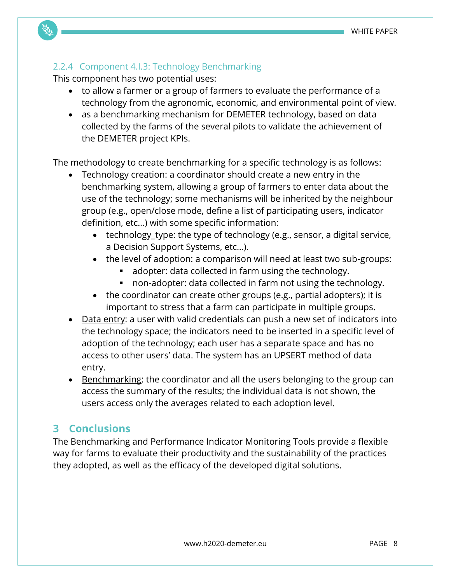#### 2.2.4 Component 4.I.3: Technology Benchmarking

This component has two potential uses:

- to allow a farmer or a group of farmers to evaluate the performance of a technology from the agronomic, economic, and environmental point of view.
- as a benchmarking mechanism for DEMETER technology, based on data collected by the farms of the several pilots to validate the achievement of the DEMETER project KPIs.

The methodology to create benchmarking for a specific technology is as follows:

- Technology creation: a coordinator should create a new entry in the benchmarking system, allowing a group of farmers to enter data about the use of the technology; some mechanisms will be inherited by the neighbour group (e.g., open/close mode, define a list of participating users, indicator definition, etc…) with some specific information:
	- technology type: the type of technology (e.g., sensor, a digital service, a Decision Support Systems, etc…).
	- the level of adoption: a comparison will need at least two sub-groups:
		- adopter: data collected in farm using the technology.
		- non-adopter: data collected in farm not using the technology.
	- the coordinator can create other groups (e.g., partial adopters); it is important to stress that a farm can participate in multiple groups.
- Data entry: a user with valid credentials can push a new set of indicators into the technology space; the indicators need to be inserted in a specific level of adoption of the technology; each user has a separate space and has no access to other users' data. The system has an UPSERT method of data entry.
- Benchmarking: the coordinator and all the users belonging to the group can access the summary of the results; the individual data is not shown, the users access only the averages related to each adoption level.

#### **3 Conclusions**

The Benchmarking and Performance Indicator Monitoring Tools provide a flexible way for farms to evaluate their productivity and the sustainability of the practices they adopted, as well as the efficacy of the developed digital solutions.